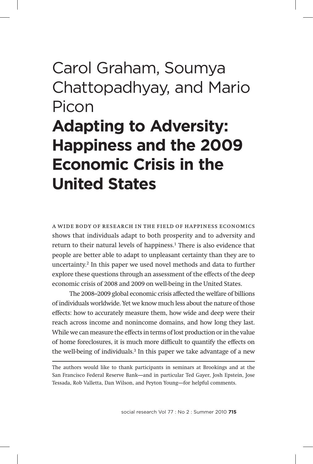## Carol Graham, Soumya Chattopadhyay, and Mario Picon

# **Adapting to Adversity: Happiness and the 2009 Economic Crisis in the United States**

a wide body of research in the field of happiness economics shows that individuals adapt to both prosperity and to adversity and return to their natural levels of happiness.<sup>1</sup> There is also evidence that people are better able to adapt to unpleasant certainty than they are to uncertainty.2 In this paper we used novel methods and data to further explore these questions through an assessment of the effects of the deep economic crisis of 2008 and 2009 on well-being in the United States.

The 2008–2009 global economic crisis affected the welfare of billions of individuals worldwide. Yet we know much less about the nature of those effects: how to accurately measure them, how wide and deep were their reach across income and nonincome domains, and how long they last. While we can measure the effects in terms of lost production or in the value of home foreclosures, it is much more difficult to quantify the effects on the well-being of individuals.<sup>3</sup> In this paper we take advantage of a new

The authors would like to thank participants in seminars at Brookings and at the San Francisco Federal Reserve Bank—and in particular Ted Gayer, Josh Epstein, Jose Tessada, Rob Valletta, Dan Wilson, and Peyton Young—for helpful comments.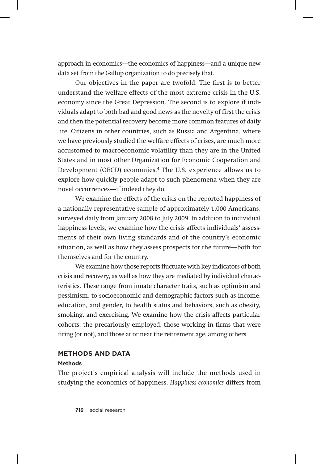approach in economics—the economics of happiness—and a unique new data set from the Gallup organization to do precisely that.

Our objectives in the paper are twofold. The first is to better understand the welfare effects of the most extreme crisis in the U.S. economy since the Great Depression. The second is to explore if individuals adapt to both bad and good news as the novelty of first the crisis and then the potential recovery become more common features of daily life. Citizens in other countries, such as Russia and Argentina, where we have previously studied the welfare effects of crises, are much more accustomed to macroeconomic volatility than they are in the United States and in most other Organization for Economic Cooperation and Development (OECD) economies.4 The U.S. experience allows us to explore how quickly people adapt to such phenomena when they are novel occurrences—if indeed they do.

We examine the effects of the crisis on the reported happiness of a nationally representative sample of approximately 1,000 Americans, surveyed daily from January 2008 to July 2009. In addition to individual happiness levels, we examine how the crisis affects individuals' assessments of their own living standards and of the country's economic situation, as well as how they assess prospects for the future—both for themselves and for the country.

We examine how those reports fluctuate with key indicators of both crisis and recovery, as well as how they are mediated by individual characteristics. These range from innate character traits, such as optimism and pessimism, to socioeconomic and demographic factors such as income, education, and gender, to health status and behaviors, such as obesity, smoking, and exercising. We examine how the crisis affects particular cohorts: the precariously employed, those working in firms that were firing (or not), and those at or near the retirement age, among others.

## **Methods and Data**

#### **Methods**

The project's empirical analysis will include the methods used in studying the economics of happiness. *Happiness economics* differs from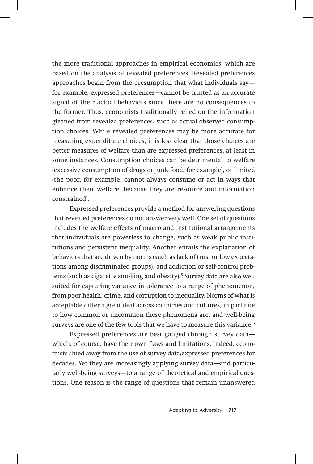the more traditional approaches in empirical economics, which are based on the analysis of revealed preferences. Revealed preferences approaches begin from the presumption that what individuals say for example, expressed preferences—cannot be trusted as an accurate signal of their actual behaviors since there are no consequences to the former. Thus, economists traditionally relied on the information gleaned from revealed preferences, such as actual observed consumption choices. While revealed preferences may be more accurate for measuring expenditure choices, it is less clear that those choices are better measures of welfare than are expressed preferences, at least in some instances. Consumption choices can be detrimental to welfare (excessive consumption of drugs or junk food, for example), or limited (the poor, for example, cannot always consume or act in ways that enhance their welfare, because they are resource and information constrained).

Expressed preferences provide a method for answering questions that revealed preferences do not answer very well. One set of questions includes the welfare effects of macro and institutional arrangements that individuals are powerless to change, such as weak public institutions and persistent inequality. Another entails the explanation of behaviors that are driven by norms (such as lack of trust or low expectations among discriminated groups), and addiction or self-control problems (such as cigarette smoking and obesity).<sup>5</sup> Survey data are also well suited for capturing variance in tolerance to a range of phenomenon, from poor health, crime, and corruption to inequality. Norms of what is acceptable differ a great deal across countries and cultures, in part due to how common or uncommon these phenomena are, and well-being surveys are one of the few tools that we have to measure this variance.<sup>6</sup>

Expressed preferences are best gauged through survey data which, of course, have their own flaws and limitations. Indeed, economists shied away from the use of survey data/expressed preferences for decades. Yet they are increasingly applying survey data—and particularly well-being surveys—to a range of theoretical and empirical questions. One reason is the range of questions that remain unanswered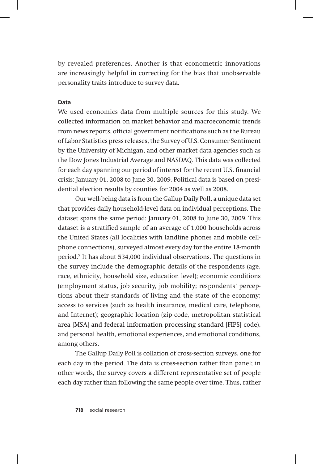by revealed preferences. Another is that econometric innovations are increasingly helpful in correcting for the bias that unobservable personality traits introduce to survey data.

#### **Data**

We used economics data from multiple sources for this study. We collected information on market behavior and macroeconomic trends from news reports, official government notifications such as the Bureau of Labor Statistics press releases, the Survey of U.S. Consumer Sentiment by the University of Michigan, and other market data agencies such as the Dow Jones Industrial Average and NASDAQ. This data was collected for each day spanning our period of interest for the recent U.S. financial crisis: January 01, 2008 to June 30, 2009. Political data is based on presidential election results by counties for 2004 as well as 2008.

Our well-being data is from the Gallup Daily Poll, a unique data set that provides daily household-level data on individual perceptions. The dataset spans the same period: January 01, 2008 to June 30, 2009. This dataset is a stratified sample of an average of 1,000 households across the United States (all localities with landline phones and mobile cellphone connections), surveyed almost every day for the entire 18-month period.7 It has about 534,000 individual observations. The questions in the survey include the demographic details of the respondents (age, race, ethnicity, household size, education level); economic conditions (employment status, job security, job mobility; respondents' perceptions about their standards of living and the state of the economy; access to services (such as health insurance, medical care, telephone, and Internet); geographic location (zip code, metropolitan statistical area [MSA] and federal information processing standard [FIPS] code), and personal health, emotional experiences, and emotional conditions, among others.

The Gallup Daily Poll is collation of cross-section surveys, one for each day in the period. The data is cross-section rather than panel; in other words, the survey covers a different representative set of people each day rather than following the same people over time. Thus, rather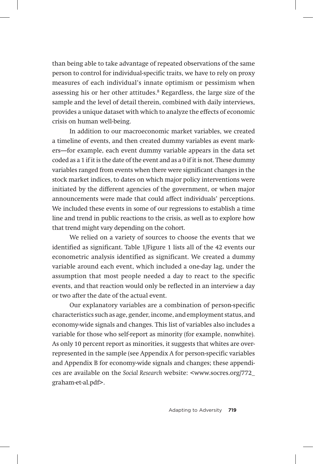than being able to take advantage of repeated observations of the same person to control for individual-specific traits, we have to rely on proxy measures of each individual's innate optimism or pessimism when assessing his or her other attitudes.8 Regardless, the large size of the sample and the level of detail therein, combined with daily interviews, provides a unique dataset with which to analyze the effects of economic crisis on human well-being.

In addition to our macroeconomic market variables, we created a timeline of events, and then created dummy variables as event markers—for example, each event dummy variable appears in the data set coded as a 1 if it is the date of the event and as a 0 if it is not. These dummy variables ranged from events when there were significant changes in the stock market indices, to dates on which major policy interventions were initiated by the different agencies of the government, or when major announcements were made that could affect individuals' perceptions. We included these events in some of our regressions to establish a time line and trend in public reactions to the crisis, as well as to explore how that trend might vary depending on the cohort.

We relied on a variety of sources to choose the events that we identified as significant. Table 1/Figure 1 lists all of the 42 events our econometric analysis identified as significant. We created a dummy variable around each event, which included a one-day lag, under the assumption that most people needed a day to react to the specific events, and that reaction would only be reflected in an interview a day or two after the date of the actual event.

Our explanatory variables are a combination of person-specific characteristics such as age, gender, income, and employment status, and economy-wide signals and changes. This list of variables also includes a variable for those who self-report as minority (for example, nonwhite). As only 10 percent report as minorities, it suggests that whites are overrepresented in the sample (see Appendix A for person-specific variables and Appendix B for economy-wide signals and changes; these appendices are available on the *Social Research* website: <www.socres.org/772\_ graham-et-al.pdf>.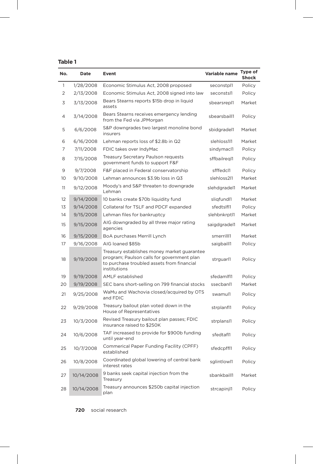#### **Table 1**

| No. | Date       | Event                                                                                                                                                   | Variable name | Type of<br><b>Shock</b> |
|-----|------------|---------------------------------------------------------------------------------------------------------------------------------------------------------|---------------|-------------------------|
| 1   | 1/28/2008  | Economic Stimulus Act, 2008 proposed                                                                                                                    | seconstpl1    | Policy                  |
| 2   | 2/13/2008  | Economic Stimulus Act, 2008 signed into law                                                                                                             | seconstsl1    | Policy                  |
| 3   | 3/13/2008  | Bears Stearns reports \$15b drop in liquid<br>assets                                                                                                    | sbearsrepl1   | Market                  |
| 4   | 3/14/2008  | Bears Stearns receives emergency lending<br>from the Fed via JPMorgan                                                                                   | sbearsbaill1  | Policy                  |
| 5   | 6/6/2008   | S&P downgrades two largest monoline bond<br>insurers                                                                                                    | sbidgradel1   | Market                  |
| 6   | 6/16/2008  | Lehman reports loss of \$2.8b in Q2                                                                                                                     | slehloss1l1   | Market                  |
| 7   | 7/11/2008  | FDIC takes over IndyMac                                                                                                                                 | sindymacl1    | Policy                  |
| 8   | 7/15/2008  | Treasury Secretary Paulson requests<br>government funds to support F&F                                                                                  | sffbailregl1  | Policy                  |
| 9   | 9/7/2008   | F&F placed in Federal conservatorship                                                                                                                   | sfffedcl1     | Policy                  |
| 10  | 9/10/2008  | Lehman announces \$3.9b loss in Q3                                                                                                                      | slehloss2l1   | Market                  |
| 11  | 9/12/2008  | Moody's and S&P threaten to downgrade<br>Lehman                                                                                                         | slehdgradel1  | Market                  |
| 12  | 9/14/2008  | 10 banks create \$70b liquidity fund                                                                                                                    | sligfundl1    | Market                  |
| 13  | 9/14/2008  | Collateral for TSLF and PDCF expanded                                                                                                                   | sfedtslfl1    | Policy                  |
| 14  | 9/15/2008  | Lehman files for bankruptcy                                                                                                                             | slehbnkrptl1  | Market                  |
| 15  | 9/15/2008  | AIG downgraded by all three major rating<br>agencies                                                                                                    | saigdgradel1  | Market                  |
| 16  | 9/15/2008  | BoA purchases Merrill Lynch                                                                                                                             | smerrilll1    | Market                  |
| 17  | 9/16/2008  | AIG loaned \$85b                                                                                                                                        | saigbaill1    | Policy                  |
| 18  | 9/19/2008  | Treasury establishes money market guarantee<br>program; Paulson calls for government plan<br>to purchase troubled assets from financial<br>institutions | strguarl1     | Policy                  |
| 19  | 9/19/2008  | <b>AMLF</b> established                                                                                                                                 | sfedamlfl1    | Policy                  |
| 20  | 9/19/2008  | SEC bans short-selling on 799 financial stocks                                                                                                          | ssecbanl1     | Market                  |
| 21  | 9/25/2008  | WaMu and Wachovia closed/acquired by OTS<br>and FDIC                                                                                                    | swamul1       | Policy                  |
| 22  | 9/29/2008  | Treasury bailout plan voted down in the<br>House of Representatives                                                                                     | strplanfl1    | Policy                  |
| 23  | 10/3/2008  | Revised Treasury bailout plan passes; FDIC<br>insurance raised to \$250K                                                                                | strplansl1    | Policy                  |
| 24  | 10/6/2008  | TAF increased to provide for \$900b funding<br>until year-end                                                                                           | sfedtafl1     | Policy                  |
| 25  | 10/7/2008  | Commerical Paper Funding Facility (CPFF)<br>established                                                                                                 | sfedcpffl1    | Policy                  |
| 26  | 10/8/2008  | Coordinated global lowering of central bank<br>interest rates                                                                                           | sglintlowl1   | Policy                  |
| 27  | 10/14/2008 | 9 banks seek capital injection from the<br>Treasury                                                                                                     | sbankbaill1   | Market                  |
| 28  | 10/14/2008 | Treasury announces \$250b capital injection<br>plan                                                                                                     | strcapinjl1   | Policy                  |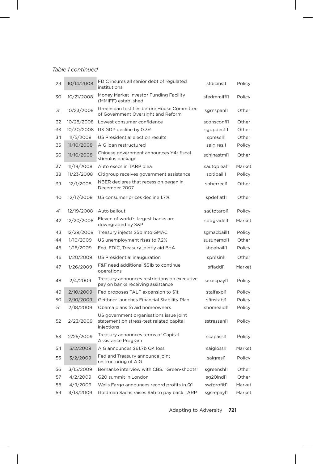#### *Table 1 continued*

| 29 | 10/14/2008 | FDIC insures all senior debt of regulated<br>institutions                                         | sfdicins <sup>1</sup> | Policy |
|----|------------|---------------------------------------------------------------------------------------------------|-----------------------|--------|
| 30 | 10/21/2008 | Money Market Investor Funding Facility<br>(MMIFF) established                                     | sfedmmiffl1           | Policy |
| 31 | 10/23/2008 | Greenspan testifies before House Committee<br>of Government Oversight and Reform                  | sgrnspanl1            | Other  |
| 32 | 10/28/2008 | Lowest consumer confidence                                                                        | sconsconfl1           | Other  |
| 33 | 10/30/2008 | US GDP decline by 0.3%                                                                            | sgdpdec111            | Other  |
| 34 | 11/5/2008  | US Presidential election results                                                                  | spresell1             | Other  |
| 35 | 11/10/2008 | AIG Ioan restructured                                                                             | saiglres <sup>1</sup> | Policy |
| 36 | 11/10/2008 | Chinese government announces Y4t fiscal<br>stimulus package                                       | schinastml1           | Other  |
| 37 | 11/18/2008 | Auto execs in TARP plea                                                                           | sautopleal1           | Market |
| 38 | 11/23/2008 | Citigroup receives government assistance                                                          | scitibaill1           | Policy |
| 39 | 12/1/2008  | NBER declares that recession began in<br>December 2007                                            | snberrecl1            | Other  |
| 40 | 12/17/2008 | US consumer prices decline 1.7%                                                                   | spdeflatl1            | Other  |
| 41 | 12/19/2008 | Auto bailout                                                                                      | sautotarpl1           | Policy |
| 42 | 12/20/2008 | Eleven of world's largest banks are<br>downgraded by S&P                                          | sbdgradel1            | Market |
| 43 | 12/29/2008 | Treasury injects \$5b into GMAC                                                                   | sgmacbaill1           | Policy |
| 44 | 1/10/2009  | US unemployment rises to 7.2%                                                                     | susunempl1            | Other  |
| 45 | 1/16/2009  | Fed, FDIC, Treasury jointly aid BoA                                                               | sboabaill1            | Policy |
| 46 | 1/20/2009  | US Presidential inauguration                                                                      | spresinl1             | Other  |
| 47 | 1/26/2009  | F&F need additional \$51b to continue<br>operations                                               | sffaddl1              | Market |
| 48 | 2/4/2009   | Treasury announces restrictions on executive<br>pay on banks receiving assistance                 | sexecpayl1            | Policy |
| 49 | 2/10/2009  | Fed proposes TALF expansion to \$1t                                                               | stalfexpl1            | Policy |
| 50 | 2/10/2009  | Geithner launches Financial Stability Plan                                                        | sfinstabl1            | Policy |
| 51 | 2/18/2009  | Obama plans to aid homeowners                                                                     | shomeaidl1            | Policy |
| 52 | 2/23/2009  | US government organisations issue joint<br>statement on stress-test related capital<br>injections | sstressanl1           | Policy |
| 53 | 2/25/2009  | Treasury announces terms of Capital<br>Assistance Program                                         | scapass <sup>1</sup>  | Policy |
| 54 | 3/2/2009   | AIG announces \$61.7b Q4 loss                                                                     | saiglossl1            | Market |
| 55 | 3/2/2009   | Fed and Treasury announce joint<br>restructuring of AIG                                           | saigres <sup>1</sup>  | Policy |
| 56 | 3/15/2009  | Bernanke interview with CBS. "Green-shoots"                                                       | sgreenshl1            | Other  |
| 57 | 4/2/2009   | G20 summit in London                                                                              | sg20lndl1             | Other  |
| 58 | 4/9/2009   | Wells Fargo announces record profits in Q1                                                        | swfprofitl1           | Market |
| 59 | 4/13/2009  | Goldman Sachs raises \$5b to pay back TARP                                                        | sgsrepayl1            | Market |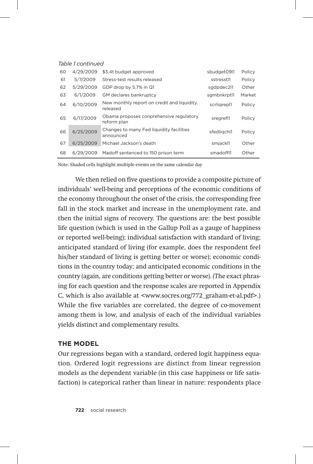#### *Table 1 continued*

| 60 | 4/29/2009 | \$3.4t budget approved                                 | sbudget09l1 | Policy |
|----|-----------|--------------------------------------------------------|-------------|--------|
| 61 | 5/7/2009  | Stress-test results released                           | sstresstl1  | Policy |
| 62 | 5/29/2009 | GDP drop by 5.7% in Q1                                 | sgdpdec2l1  | Other  |
| 63 | 6/1/2009  | <b>GM</b> declares bankruptcy                          | sgmbnkrptl1 | Market |
| 64 | 6/10/2009 | New monthly report on credit and liquidity<br>released | scrligrepl1 | Policy |
| 65 | 6/17/2009 | Obama proposes conprehensive regulatory<br>reform plan | sregref11   | Policy |
| 66 | 6/25/2009 | Changes to many Fed liquidity facilities<br>announced  | sfedligchl1 | Policy |
| 67 | 6/25/2009 | Michael Jackson's death                                | smjackl1    | Other  |
| 68 | 6/29/2009 | Madoff sentenced to 150 prison term                    | smadoffl1   | Other  |

Note: Shaded cells highlight multiple events on the same calendar day

We then relied on five questions to provide a composite picture of individuals' well-being and perceptions of the economic conditions of the economy throughout the onset of the crisis, the corresponding free fall in the stock market and increase in the unemployment rate, and then the initial signs of recovery. The questions are: the best possible life question (which is used in the Gallup Poll as a gauge of happiness or reported well-being); individual satisfaction with standard of living; anticipated standard of living (for example, does the respondent feel his/her standard of living is getting better or worse); economic conditions in the country today; and anticipated economic conditions in the country (again, are conditions getting better or worse). (The exact phrasing for each question and the response scales are reported in Appendix C, which is also available at <www.socres.org/772\_graham-et-al.pdf>.) While the five variables are correlated, the degree of co-movement among them is low, and analysis of each of the individual variables yields distinct and complementary results.

## **The model**

Our regressions began with a standard, ordered logit happiness equation. Ordered logit regressions are distinct from linear regression models as the dependent variable (in this case happiness or life satisfaction) is categorical rather than linear in nature: respondents place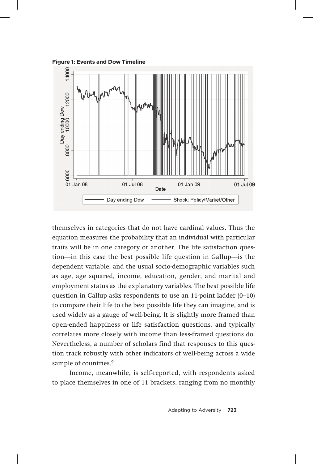**Figure 1: Events and Dow Timeline** 



themselves in categories that do not have cardinal values. Thus the equation measures the probability that an individual with particular traits will be in one category or another. The life satisfaction question—in this case the best possible life question in Gallup—is the dependent variable, and the usual socio-demographic variables such as age, age squared, income, education, gender, and marital and employment status as the explanatory variables. The best possible life question in Gallup asks respondents to use an 11-point ladder (0–10) to compare their life to the best possible life they can imagine, and is used widely as a gauge of well-being. It is slightly more framed than open-ended happiness or life satisfaction questions, and typically correlates more closely with income than less-framed questions do. Nevertheless, a number of scholars find that responses to this question track robustly with other indicators of well-being across a wide sample of countries.<sup>9</sup>

Income, meanwhile, is self-reported, with respondents asked to place themselves in one of 11 brackets, ranging from no monthly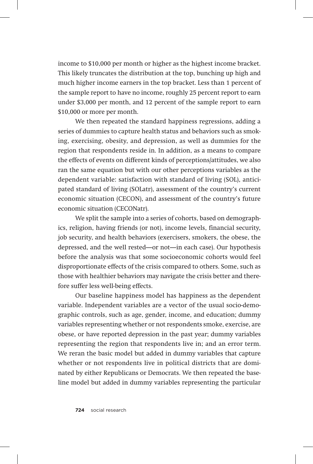income to \$10,000 per month or higher as the highest income bracket. This likely truncates the distribution at the top, bunching up high and much higher income earners in the top bracket. Less than 1 percent of the sample report to have no income, roughly 25 percent report to earn under \$3,000 per month, and 12 percent of the sample report to earn \$10,000 or more per month.

We then repeated the standard happiness regressions, adding a series of dummies to capture health status and behaviors such as smoking, exercising, obesity, and depression, as well as dummies for the region that respondents reside in. In addition, as a means to compare the effects of events on different kinds of perceptions/attitudes, we also ran the same equation but with our other perceptions variables as the dependent variable: satisfaction with standard of living (SOL), anticipated standard of living (SOLatr), assessment of the country's current economic situation (CECON), and assessment of the country's future economic situation (CECONatr).

We split the sample into a series of cohorts, based on demographics, religion, having friends (or not), income levels, financial security, job security, and health behaviors (exercisers, smokers, the obese, the depressed, and the well rested—or not—in each case). Our hypothesis before the analysis was that some socioeconomic cohorts would feel disproportionate effects of the crisis compared to others. Some, such as those with healthier behaviors may navigate the crisis better and therefore suffer less well-being effects.

Our baseline happiness model has happiness as the dependent variable. Independent variables are a vector of the usual socio-demographic controls, such as age, gender, income, and education; dummy variables representing whether or not respondents smoke, exercise, are obese, or have reported depression in the past year; dummy variables representing the region that respondents live in; and an error term. We reran the basic model but added in dummy variables that capture whether or not respondents live in political districts that are dominated by either Republicans or Democrats. We then repeated the baseline model but added in dummy variables representing the particular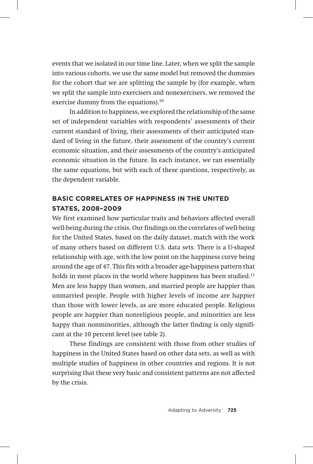events that we isolated in our time line. Later, when we split the sample into various cohorts, we use the same model but removed the dummies for the cohort that we are splitting the sample by (for example, when we split the sample into exercisers and nonexercisers, we removed the exercise dummy from the equations).10

In addition to happiness, we explored the relationship of the same set of independent variables with respondents' assessments of their current standard of living, their assessments of their anticipated standard of living in the future, their assessment of the country's current economic situation, and their assessments of the country's anticipated economic situation in the future. In each instance, we ran essentially the same equations, but with each of these questions, respectively, as the dependent variable.

## **Basic Correlates of Happiness in the United states, 2008–2009**

We first examined how particular traits and behaviors affected overall well-being during the crisis. Our findings on the correlates of well-being for the United States, based on the daily dataset, match with the work of many others based on different U.S. data sets. There is a U-shaped relationship with age, with the low point on the happiness curve being around the age of 47. This fits with a broader age-happiness pattern that holds in most places in the world where happiness has been studied.<sup>11</sup> Men are less happy than women, and married people are happier than unmarried people. People with higher levels of income are happier than those with lower levels, as are more educated people. Religious people are happier than nonreligious people, and minorities are less happy than nonminorities, although the latter finding is only significant at the 10 percent level (see table 2).

These findings are consistent with those from other studies of happiness in the United States based on other data sets, as well as with multiple studies of happiness in other countries and regions. It is not surprising that these very basic and consistent patterns are not affected by the crisis.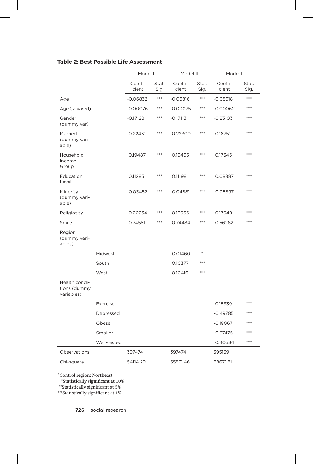|                                               |             | Model I          |               | Model II         |               | Model III        |               |
|-----------------------------------------------|-------------|------------------|---------------|------------------|---------------|------------------|---------------|
|                                               |             | Coeffi-<br>cient | Stat.<br>Sig. | Coeffi-<br>cient | Stat.<br>Sig. | Coeffi-<br>cient | Stat.<br>Sig. |
| Age                                           |             | $-0.06832$       | ***           | $-0.06816$       | ***           | $-0.05618$       | ***           |
| Age (squared)                                 |             | 0.00076          | ***           | 0.00075          | ***           | 0.00062          | ***           |
| Gender<br>(dummy var)                         |             | $-0.17128$       | ***           | $-0.17113$       | $***$         | $-0.23103$       | ***           |
| Married<br>(dummy vari-<br>able)              |             | 0.22431          | ***           | 0.22300          | ***           | 0.18751          | ***           |
| Household<br>Income<br>Group                  |             | 0.19487          | ***           | 0.19465          | ***           | 0.17345          | ***           |
| Education<br>Level                            |             | 0.11285          | ***           | 0.11198          | ***           | 0.08887          | ***           |
| Minority<br>(dummy vari-<br>able)             |             | $-0.03452$       | ***           | $-0.04881$       | ***           | $-0.05897$       | ***           |
| Religiosity                                   |             | 0.20234          | ***           | 0.19965          | ***           | 0.17949          | ***           |
| Smile                                         |             | 0.74551          | ***           | 0.74484          | ***           | 0.56262          | ***           |
| Region<br>(dummy vari-<br>ables) <sup>1</sup> |             |                  |               |                  |               |                  |               |
|                                               | Midwest     |                  |               | $-0.01460$       | *             |                  |               |
|                                               | South       |                  |               | 0.10377          | ***           |                  |               |
|                                               | West        |                  |               | 0.10416          | $* * *$       |                  |               |
| Health condi-<br>tions (dummy<br>variables)   |             |                  |               |                  |               |                  |               |
|                                               | Exercise    |                  |               |                  |               | 0.15339          | ***           |
|                                               | Depressed   |                  |               |                  |               | $-0.49785$       | ***           |
|                                               | Obese       |                  |               |                  |               | $-0.18067$       | ***           |
|                                               | Smoker      |                  |               |                  |               | $-0.37475$       | ***           |
|                                               | Well-rested |                  |               |                  |               | 0.40534          | ***           |
| Observations                                  |             | 397474           |               | 397474           |               | 395139           |               |
| Chi-square                                    |             | 54114.29         |               | 55571.46         |               | 68671.81         |               |

#### **Table 2: Best Possible Life Assessment**

1Control region: Northeast

\*Statistically significant at 10%

\*\*Statistically significant at 5%

\*\*\*Statistically significant at 1%

**726** social research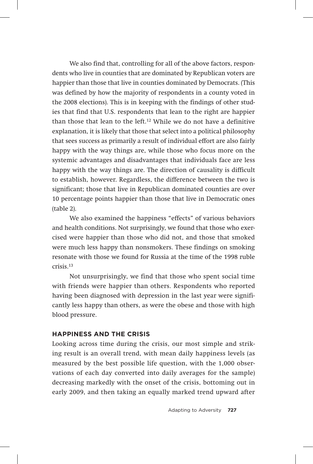We also find that, controlling for all of the above factors, respondents who live in counties that are dominated by Republican voters are happier than those that live in counties dominated by Democrats. (This was defined by how the majority of respondents in a county voted in the 2008 elections). This is in keeping with the findings of other studies that find that U.S. respondents that lean to the right are happier than those that lean to the left.<sup>12</sup> While we do not have a definitive explanation, it is likely that those that select into a political philosophy that sees success as primarily a result of individual effort are also fairly happy with the way things are, while those who focus more on the systemic advantages and disadvantages that individuals face are less happy with the way things are. The direction of causality is difficult to establish, however. Regardless, the difference between the two is significant; those that live in Republican dominated counties are over 10 percentage points happier than those that live in Democratic ones (table 2).

We also examined the happiness "effects" of various behaviors and health conditions. Not surprisingly, we found that those who exercised were happier than those who did not, and those that smoked were much less happy than nonsmokers. These findings on smoking resonate with those we found for Russia at the time of the 1998 ruble crisis.13

Not unsurprisingly, we find that those who spent social time with friends were happier than others. Respondents who reported having been diagnosed with depression in the last year were significantly less happy than others, as were the obese and those with high blood pressure.

## **Happiness and the crisis**

Looking across time during the crisis, our most simple and striking result is an overall trend, with mean daily happiness levels (as measured by the best possible life question, with the 1,000 observations of each day converted into daily averages for the sample) decreasing markedly with the onset of the crisis, bottoming out in early 2009, and then taking an equally marked trend upward after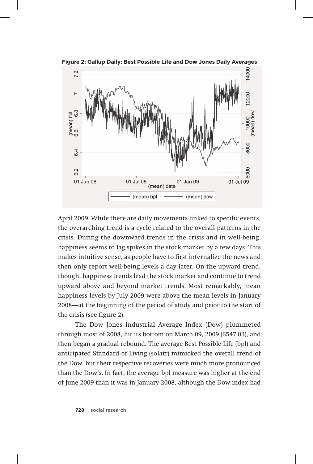

**Figure 2: Gallup Daily: Best Possible Life and Dow Jones Daily Averages** 

April 2009. While there are daily movements linked to specific events, the overarching trend is a cycle related to the overall patterns in the crisis. During the downward trends in the crisis and in well-being, happiness seems to lag spikes in the stock market by a few days. This makes intuitive sense, as people have to first internalize the news and then only report well-being levels a day later. On the upward trend, though, happiness trends lead the stock market and continue to trend upward above and beyond market trends. Most remarkably, mean happiness levels by July 2009 were above the mean levels in January 2008—at the beginning of the period of study and prior to the start of the crisis (see figure 2).

The Dow Jones Industrial Average Index (Dow) plummeted through most of 2008, hit its bottom on March 09, 2009 (6547.03), and then began a gradual rebound. The average Best Possible Life (bpl) and anticipated Standard of Living (solatr) mimicked the overall trend of the Dow, but their respective recoveries were much more pronounced than the Dow's. In fact, the average bpl measure was higher at the end of June 2009 than it was in January 2008, although the Dow index had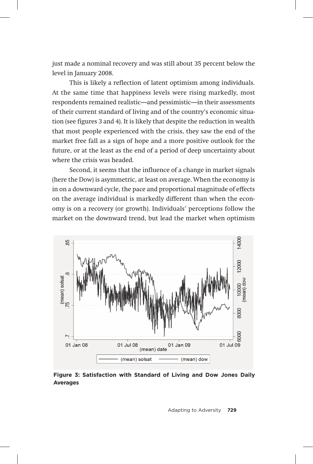just made a nominal recovery and was still about 35 percent below the level in January 2008.

This is likely a reflection of latent optimism among individuals. At the same time that happiness levels were rising markedly, most respondents remained realistic—and pessimistic—in their assessments of their current standard of living and of the country's economic situation (see figures 3 and 4). It is likely that despite the reduction in wealth that most people experienced with the crisis, they saw the end of the market free fall as a sign of hope and a more positive outlook for the future, or at the least as the end of a period of deep uncertainty about where the crisis was headed.

Second, it seems that the influence of a change in market signals (here the Dow) is asymmetric, at least on average. When the economy is in on a downward cycle, the pace and proportional magnitude of effects on the average individual is markedly different than when the economy is on a recovery (or growth). Individuals' perceptions follow the market on the downward trend, but lead the market when optimism



**Figure 3: Satisfaction with Standard of Living and Dow Jones Daily Averages**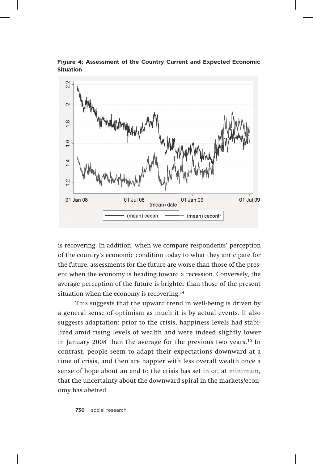**figure 4: Assessment of the Country Current and Expected Economic Situation**



is recovering. In addition, when we compare respondents' perception of the country's economic condition today to what they anticipate for the future, assessments for the future are worse than those of the present when the economy is heading toward a recession. Conversely, the average perception of the future is brighter than those of the present situation when the economy is recovering.<sup>14</sup>

This suggests that the upward trend in well-being is driven by a general sense of optimism as much it is by actual events. It also suggests adaptation; prior to the crisis, happiness levels had stabilized amid rising levels of wealth and were indeed slightly lower in January 2008 than the average for the previous two years.<sup>15</sup> In contrast, people seem to adapt their expectations downward at a time of crisis, and then are happier with less overall wealth once a sense of hope about an end to the crisis has set in or, at minimum, that the uncertainty about the downward spiral in the markets/economy has abetted.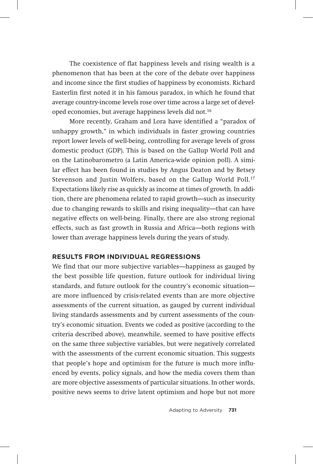The coexistence of flat happiness levels and rising wealth is a phenomenon that has been at the core of the debate over happiness and income since the first studies of happiness by economists. Richard Easterlin first noted it in his famous paradox, in which he found that average country-income levels rose over time across a large set of developed economies, but average happiness levels did not.16

More recently, Graham and Lora have identified a "paradox of unhappy growth," in which individuals in faster growing countries report lower levels of well-being, controlling for average levels of gross domestic product (GDP). This is based on the Gallup World Poll and on the Latinobarometro (a Latin America-wide opinion poll). A similar effect has been found in studies by Angus Deaton and by Betsey Stevenson and Justin Wolfers, based on the Gallup World Poll.<sup>17</sup> Expectations likely rise as quickly as income at times of growth. In addition, there are phenomena related to rapid growth—such as insecurity due to changing rewards to skills and rising inequality—that can have negative effects on well-being. Finally, there are also strong regional effects, such as fast growth in Russia and Africa—both regions with lower than average happiness levels during the years of study.

## **Results from individual regressions**

We find that our more subjective variables—happiness as gauged by the best possible life question, future outlook for individual living standards, and future outlook for the country's economic situation are more influenced by crisis-related events than are more objective assessments of the current situation, as gauged by current individual living standards assessments and by current assessments of the country's economic situation. Events we coded as positive (according to the criteria described above), meanwhile, seemed to have positive effects on the same three subjective variables, but were negatively correlated with the assessments of the current economic situation. This suggests that people's hope and optimism for the future is much more influenced by events, policy signals, and how the media covers them than are more objective assessments of particular situations. In other words, positive news seems to drive latent optimism and hope but not more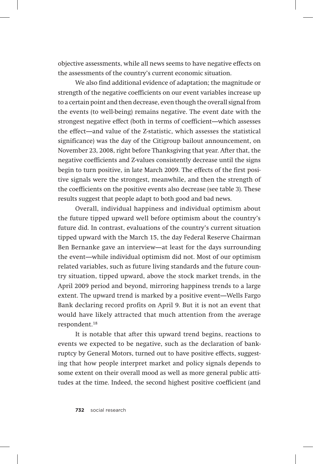objective assessments, while all news seems to have negative effects on the assessments of the country's current economic situation.

We also find additional evidence of adaptation; the magnitude or strength of the negative coefficients on our event variables increase up to a certain point and then decrease, even though the overall signal from the events (to well-being) remains negative. The event date with the strongest negative effect (both in terms of coefficient—which assesses the effect—and value of the Z-statistic, which assesses the statistical significance) was the day of the Citigroup bailout announcement, on November 23, 2008, right before Thanksgiving that year. After that, the negative coefficients and Z-values consistently decrease until the signs begin to turn positive, in late March 2009. The effects of the first positive signals were the strongest, meanwhile, and then the strength of the coefficients on the positive events also decrease (see table 3). These results suggest that people adapt to both good and bad news.

Overall, individual happiness and individual optimism about the future tipped upward well before optimism about the country's future did. In contrast, evaluations of the country's current situation tipped upward with the March 15, the day Federal Reserve Chairman Ben Bernanke gave an interview—at least for the days surrounding the event—while individual optimism did not. Most of our optimism related variables, such as future living standards and the future country situation, tipped upward, above the stock market trends, in the April 2009 period and beyond, mirroring happiness trends to a large extent. The upward trend is marked by a positive event—Wells Fargo Bank declaring record profits on April 9. But it is not an event that would have likely attracted that much attention from the average respondent.18

It is notable that after this upward trend begins, reactions to events we expected to be negative, such as the declaration of bankruptcy by General Motors, turned out to have positive effects, suggesting that how people interpret market and policy signals depends to some extent on their overall mood as well as more general public attitudes at the time. Indeed, the second highest positive coefficient (and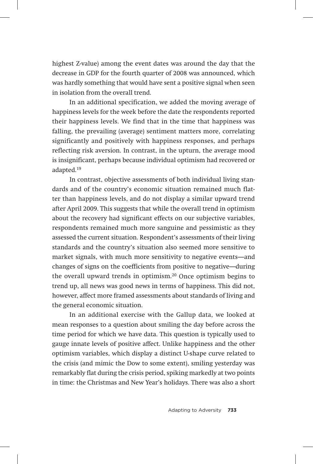highest Z-value) among the event dates was around the day that the decrease in GDP for the fourth quarter of 2008 was announced, which was hardly something that would have sent a positive signal when seen in isolation from the overall trend.

In an additional specification, we added the moving average of happiness levels for the week before the date the respondents reported their happiness levels. We find that in the time that happiness was falling, the prevailing (average) sentiment matters more, correlating significantly and positively with happiness responses, and perhaps reflecting risk aversion. In contrast, in the upturn, the average mood is insignificant, perhaps because individual optimism had recovered or adapted.19

In contrast, objective assessments of both individual living standards and of the country's economic situation remained much flatter than happiness levels, and do not display a similar upward trend after April 2009. This suggests that while the overall trend in optimism about the recovery had significant effects on our subjective variables, respondents remained much more sanguine and pessimistic as they assessed the current situation. Respondent's assessments of their living standards and the country's situation also seemed more sensitive to market signals, with much more sensitivity to negative events—and changes of signs on the coefficients from positive to negative—during the overall upward trends in optimism.20 Once optimism begins to trend up, all news was good news in terms of happiness. This did not, however, affect more framed assessments about standards of living and the general economic situation.

In an additional exercise with the Gallup data, we looked at mean responses to a question about smiling the day before across the time period for which we have data. This question is typically used to gauge innate levels of positive affect. Unlike happiness and the other optimism variables, which display a distinct U-shape curve related to the crisis (and mimic the Dow to some extent), smiling yesterday was remarkably flat during the crisis period, spiking markedly at two points in time: the Christmas and New Year's holidays. There was also a short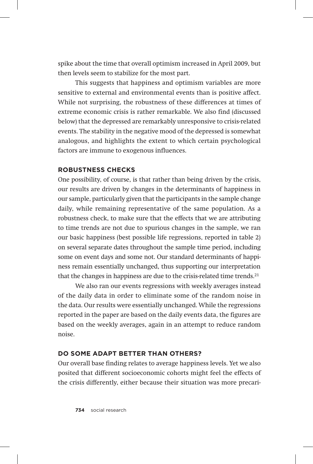spike about the time that overall optimism increased in April 2009, but then levels seem to stabilize for the most part.

This suggests that happiness and optimism variables are more sensitive to external and environmental events than is positive affect. While not surprising, the robustness of these differences at times of extreme economic crisis is rather remarkable. We also find (discussed below) that the depressed are remarkably unresponsive to crisis-related events. The stability in the negative mood of the depressed is somewhat analogous, and highlights the extent to which certain psychological factors are immune to exogenous influences.

## **Robustness checks**

One possibility, of course, is that rather than being driven by the crisis, our results are driven by changes in the determinants of happiness in our sample, particularly given that the participants in the sample change daily, while remaining representative of the same population. As a robustness check, to make sure that the effects that we are attributing to time trends are not due to spurious changes in the sample, we ran our basic happiness (best possible life regressions, reported in table 2) on several separate dates throughout the sample time period, including some on event days and some not. Our standard determinants of happiness remain essentially unchanged, thus supporting our interpretation that the changes in happiness are due to the crisis-related time trends.<sup>21</sup>

We also ran our events regressions with weekly averages instead of the daily data in order to eliminate some of the random noise in the data. Our results were essentially unchanged. While the regressions reported in the paper are based on the daily events data, the figures are based on the weekly averages, again in an attempt to reduce random noise.

## **Do Some Adapt Better than Others?**

Our overall base finding relates to average happiness levels. Yet we also posited that different socioeconomic cohorts might feel the effects of the crisis differently, either because their situation was more precari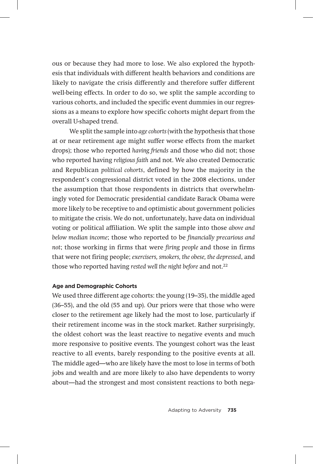ous or because they had more to lose. We also explored the hypothesis that individuals with different health behaviors and conditions are likely to navigate the crisis differently and therefore suffer different well-being effects. In order to do so, we split the sample according to various cohorts, and included the specific event dummies in our regressions as a means to explore how specific cohorts might depart from the overall U-shaped trend.

We split the sample into *age cohorts* (with the hypothesis that those at or near retirement age might suffer worse effects from the market drops); those who reported *having friends* and those who did not; those who reported having *religious faith* and not. We also created Democratic and Republican *political cohorts*, defined by how the majority in the respondent's congressional district voted in the 2008 elections, under the assumption that those respondents in districts that overwhelmingly voted for Democratic presidential candidate Barack Obama were more likely to be receptive to and optimistic about government policies to mitigate the crisis. We do not, unfortunately, have data on individual voting or political affiliation. We split the sample into those *above and below median income*; those who reported to be *financially precarious and not*; those working in firms that were *firing people* and those in firms that were not firing people; *exercisers, smokers, the obese, the depressed*, and those who reported having *rested well the night before* and not.22

## **Age and Demographic Cohorts**

We used three different age cohorts: the young (19–35), the middle aged (36–55), and the old (55 and up). Our priors were that those who were closer to the retirement age likely had the most to lose, particularly if their retirement income was in the stock market. Rather surprisingly, the oldest cohort was the least reactive to negative events and much more responsive to positive events. The youngest cohort was the least reactive to all events, barely responding to the positive events at all. The middle aged—who are likely have the most to lose in terms of both jobs and wealth and are more likely to also have dependents to worry about—had the strongest and most consistent reactions to both nega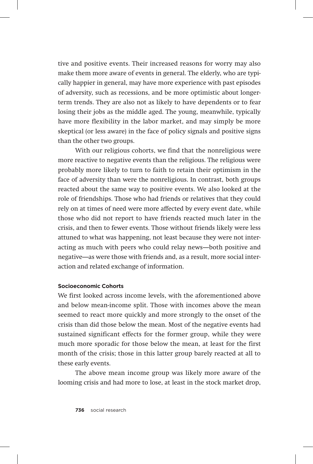tive and positive events. Their increased reasons for worry may also make them more aware of events in general. The elderly, who are typically happier in general, may have more experience with past episodes of adversity, such as recessions, and be more optimistic about longerterm trends. They are also not as likely to have dependents or to fear losing their jobs as the middle aged. The young, meanwhile, typically have more flexibility in the labor market, and may simply be more skeptical (or less aware) in the face of policy signals and positive signs than the other two groups.

With our religious cohorts, we find that the nonreligious were more reactive to negative events than the religious. The religious were probably more likely to turn to faith to retain their optimism in the face of adversity than were the nonreligious. In contrast, both groups reacted about the same way to positive events. We also looked at the role of friendships. Those who had friends or relatives that they could rely on at times of need were more affected by every event date, while those who did not report to have friends reacted much later in the crisis, and then to fewer events. Those without friends likely were less attuned to what was happening, not least because they were not interacting as much with peers who could relay news—both positive and negative—as were those with friends and, as a result, more social interaction and related exchange of information.

#### **Socioeconomic Cohorts**

We first looked across income levels, with the aforementioned above and below mean-income split. Those with incomes above the mean seemed to react more quickly and more strongly to the onset of the crisis than did those below the mean. Most of the negative events had sustained significant effects for the former group, while they were much more sporadic for those below the mean, at least for the first month of the crisis; those in this latter group barely reacted at all to these early events.

The above mean income group was likely more aware of the looming crisis and had more to lose, at least in the stock market drop,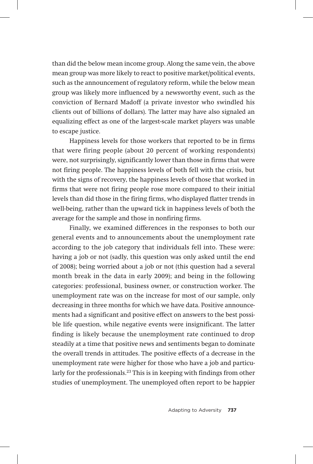than did the below mean income group. Along the same vein, the above mean group was more likely to react to positive market/political events, such as the announcement of regulatory reform, while the below mean group was likely more influenced by a newsworthy event, such as the conviction of Bernard Madoff (a private investor who swindled his clients out of billions of dollars). The latter may have also signaled an equalizing effect as one of the largest-scale market players was unable to escape justice.

Happiness levels for those workers that reported to be in firms that were firing people (about 20 percent of working respondents) were, not surprisingly, significantly lower than those in firms that were not firing people. The happiness levels of both fell with the crisis, but with the signs of recovery, the happiness levels of those that worked in firms that were not firing people rose more compared to their initial levels than did those in the firing firms, who displayed flatter trends in well-being, rather than the upward tick in happiness levels of both the average for the sample and those in nonfiring firms.

Finally, we examined differences in the responses to both our general events and to announcements about the unemployment rate according to the job category that individuals fell into. These were: having a job or not (sadly, this question was only asked until the end of 2008); being worried about a job or not (this question had a several month break in the data in early 2009); and being in the following categories: professional, business owner, or construction worker. The unemployment rate was on the increase for most of our sample, only decreasing in three months for which we have data. Positive announcements had a significant and positive effect on answers to the best possible life question, while negative events were insignificant. The latter finding is likely because the unemployment rate continued to drop steadily at a time that positive news and sentiments began to dominate the overall trends in attitudes. The positive effects of a decrease in the unemployment rate were higher for those who have a job and particularly for the professionals.<sup>23</sup> This is in keeping with findings from other studies of unemployment. The unemployed often report to be happier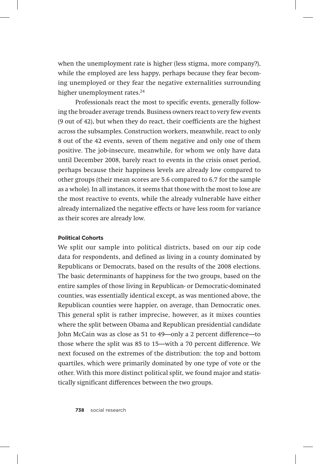when the unemployment rate is higher (less stigma, more company?), while the employed are less happy, perhaps because they fear becoming unemployed or they fear the negative externalities surrounding higher unemployment rates.<sup>24</sup>

Professionals react the most to specific events, generally following the broader average trends. Business owners react to very few events (9 out of 42), but when they do react, their coefficients are the highest across the subsamples. Construction workers, meanwhile, react to only 8 out of the 42 events, seven of them negative and only one of them positive. The job-insecure, meanwhile, for whom we only have data until December 2008, barely react to events in the crisis onset period, perhaps because their happiness levels are already low compared to other groups (their mean scores are 5.6 compared to 6.7 for the sample as a whole). In all instances, it seems that those with the most to lose are the most reactive to events, while the already vulnerable have either already internalized the negative effects or have less room for variance as their scores are already low.

## **Political Cohorts**

We split our sample into political districts, based on our zip code data for respondents, and defined as living in a county dominated by Republicans or Democrats, based on the results of the 2008 elections. The basic determinants of happiness for the two groups, based on the entire samples of those living in Republican- or Democratic-dominated counties, was essentially identical except, as was mentioned above, the Republican counties were happier, on average, than Democratic ones. This general split is rather imprecise, however, as it mixes counties where the split between Obama and Republican presidential candidate John McCain was as close as 51 to 49—only a 2 percent difference—to those where the split was 85 to 15—with a 70 percent difference. We next focused on the extremes of the distribution: the top and bottom quartiles, which were primarily dominated by one type of vote or the other. With this more distinct political split, we found major and statistically significant differences between the two groups.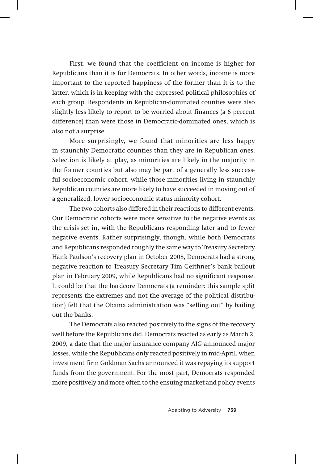First, we found that the coefficient on income is higher for Republicans than it is for Democrats. In other words, income is more important to the reported happiness of the former than it is to the latter, which is in keeping with the expressed political philosophies of each group. Respondents in Republican-dominated counties were also slightly less likely to report to be worried about finances (a 6 percent difference) than were those in Democratic-dominated ones, which is also not a surprise.

More surprisingly, we found that minorities are less happy in staunchly Democratic counties than they are in Republican ones. Selection is likely at play, as minorities are likely in the majority in the former counties but also may be part of a generally less successful socioeconomic cohort, while those minorities living in staunchly Republican counties are more likely to have succeeded in moving out of a generalized, lower socioeconomic status minority cohort.

The two cohorts also differed in their reactions to different events. Our Democratic cohorts were more sensitive to the negative events as the crisis set in, with the Republicans responding later and to fewer negative events. Rather surprisingly, though, while both Democrats and Republicans responded roughly the same way to Treasury Secretary Hank Paulson's recovery plan in October 2008, Democrats had a strong negative reaction to Treasury Secretary Tim Geithner's bank bailout plan in February 2009, while Republicans had no significant response. It could be that the hardcore Democrats (a reminder: this sample split represents the extremes and not the average of the political distribution) felt that the Obama administration was "selling out" by bailing out the banks.

The Democrats also reacted positively to the signs of the recovery well before the Republicans did. Democrats reacted as early as March 2, 2009, a date that the major insurance company AIG announced major losses, while the Republicans only reacted positively in mid-April, when investment firm Goldman Sachs announced it was repaying its support funds from the government. For the most part, Democrats responded more positively and more often to the ensuing market and policy events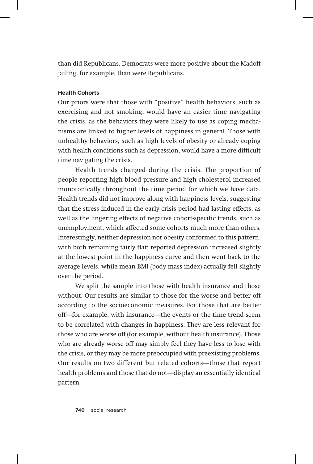than did Republicans. Democrats were more positive about the Madoff jailing, for example, than were Republicans.

#### **Health Cohorts**

Our priors were that those with "positive" health behaviors, such as exercising and not smoking, would have an easier time navigating the crisis, as the behaviors they were likely to use as coping mechanisms are linked to higher levels of happiness in general. Those with unhealthy behaviors, such as high levels of obesity or already coping with health conditions such as depression, would have a more difficult time navigating the crisis.

Health trends changed during the crisis. The proportion of people reporting high blood pressure and high cholesterol increased monotonically throughout the time period for which we have data. Health trends did not improve along with happiness levels, suggesting that the stress induced in the early crisis period had lasting effects, as well as the lingering effects of negative cohort-specific trends, such as unemployment, which affected some cohorts much more than others. Interestingly, neither depression nor obesity conformed to this pattern, with both remaining fairly flat: reported depression increased slightly at the lowest point in the happiness curve and then went back to the average levels, while mean BMI (body mass index) actually fell slightly over the period.

We split the sample into those with health insurance and those without. Our results are similar to those for the worse and better off according to the socioeconomic measures. For those that are better off—for example, with insurance—the events or the time trend seem to be correlated with changes in happiness. They are less relevant for those who are worse off (for example, without health insurance). Those who are already worse off may simply feel they have less to lose with the crisis, or they may be more preoccupied with preexisting problems. Our results on two different but related cohorts—those that report health problems and those that do not—display an essentially identical pattern.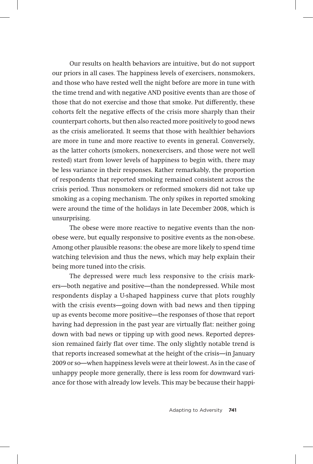Our results on health behaviors are intuitive, but do not support our priors in all cases. The happiness levels of exercisers, nonsmokers, and those who have rested well the night before are more in tune with the time trend and with negative AND positive events than are those of those that do not exercise and those that smoke. Put differently, these cohorts felt the negative effects of the crisis more sharply than their counterpart cohorts, but then also reacted more positively to good news as the crisis ameliorated. It seems that those with healthier behaviors are more in tune and more reactive to events in general. Conversely, as the latter cohorts (smokers, nonexercisers, and those were not well rested) start from lower levels of happiness to begin with, there may be less variance in their responses. Rather remarkably, the proportion of respondents that reported smoking remained consistent across the crisis period. Thus nonsmokers or reformed smokers did not take up smoking as a coping mechanism. The only spikes in reported smoking were around the time of the holidays in late December 2008, which is unsurprising.

The obese were more reactive to negative events than the nonobese were, but equally responsive to positive events as the non-obese. Among other plausible reasons: the obese are more likely to spend time watching television and thus the news, which may help explain their being more tuned into the crisis.

The depressed were *much* less responsive to the crisis markers—both negative and positive—than the nondepressed. While most respondents display a U-shaped happiness curve that plots roughly with the crisis events—going down with bad news and then tipping up as events become more positive—the responses of those that report having had depression in the past year are virtually flat: neither going down with bad news or tipping up with good news. Reported depression remained fairly flat over time. The only slightly notable trend is that reports increased somewhat at the height of the crisis—in January 2009 or so—when happiness levels were at their lowest. As in the case of unhappy people more generally, there is less room for downward variance for those with already low levels. This may be because their happi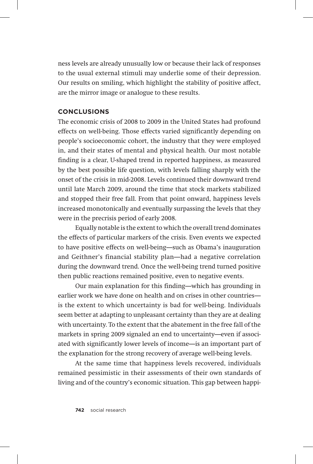ness levels are already unusually low or because their lack of responses to the usual external stimuli may underlie some of their depression. Our results on smiling, which highlight the stability of positive affect, are the mirror image or analogue to these results.

## **Conclusions**

The economic crisis of 2008 to 2009 in the United States had profound effects on well-being. Those effects varied significantly depending on people's socioeconomic cohort, the industry that they were employed in, and their states of mental and physical health. Our most notable finding is a clear, U-shaped trend in reported happiness, as measured by the best possible life question, with levels falling sharply with the onset of the crisis in mid-2008. Levels continued their downward trend until late March 2009, around the time that stock markets stabilized and stopped their free fall. From that point onward, happiness levels increased monotonically and eventually surpassing the levels that they were in the precrisis period of early 2008.

Equally notable is the extent to which the overall trend dominates the effects of particular markers of the crisis. Even events we expected to have positive effects on well-being—such as Obama's inauguration and Geithner's financial stability plan—had a negative correlation during the downward trend. Once the well-being trend turned positive then public reactions remained positive, even to negative events.

Our main explanation for this finding—which has grounding in earlier work we have done on health and on crises in other countries is the extent to which uncertainty is bad for well-being. Individuals seem better at adapting to unpleasant certainty than they are at dealing with uncertainty. To the extent that the abatement in the free fall of the markets in spring 2009 signaled an end to uncertainty—even if associated with significantly lower levels of income—is an important part of the explanation for the strong recovery of average well-being levels.

At the same time that happiness levels recovered, individuals remained pessimistic in their assessments of their own standards of living and of the country's economic situation. This gap between happi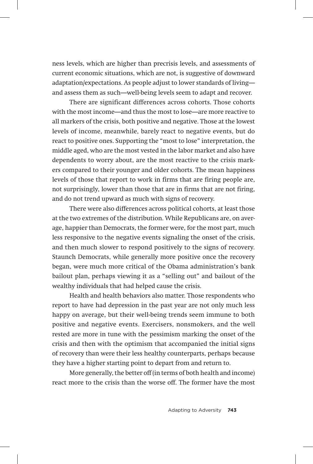ness levels, which are higher than precrisis levels, and assessments of current economic situations, which are not, is suggestive of downward adaptation/expectations. As people adjust to lower standards of living and assess them as such—well-being levels seem to adapt and recover.

There are significant differences across cohorts. Those cohorts with the most income—and thus the most to lose—are more reactive to all markers of the crisis, both positive and negative. Those at the lowest levels of income, meanwhile, barely react to negative events, but do react to positive ones. Supporting the "most to lose" interpretation, the middle aged, who are the most vested in the labor market and also have dependents to worry about, are the most reactive to the crisis markers compared to their younger and older cohorts. The mean happiness levels of those that report to work in firms that are firing people are, not surprisingly, lower than those that are in firms that are not firing, and do not trend upward as much with signs of recovery.

There were also differences across political cohorts, at least those at the two extremes of the distribution. While Republicans are, on average, happier than Democrats, the former were, for the most part, much less responsive to the negative events signaling the onset of the crisis, and then much slower to respond positively to the signs of recovery. Staunch Democrats, while generally more positive once the recovery began, were much more critical of the Obama administration's bank bailout plan, perhaps viewing it as a "selling out" and bailout of the wealthy individuals that had helped cause the crisis.

Health and health behaviors also matter. Those respondents who report to have had depression in the past year are not only much less happy on average, but their well-being trends seem immune to both positive and negative events. Exercisers, nonsmokers, and the well rested are more in tune with the pessimism marking the onset of the crisis and then with the optimism that accompanied the initial signs of recovery than were their less healthy counterparts, perhaps because they have a higher starting point to depart from and return to.

More generally, the better off (in terms of both health and income) react more to the crisis than the worse off. The former have the most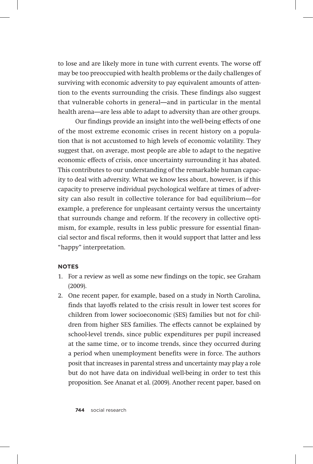to lose and are likely more in tune with current events. The worse off may be too preoccupied with health problems or the daily challenges of surviving with economic adversity to pay equivalent amounts of attention to the events surrounding the crisis. These findings also suggest that vulnerable cohorts in general—and in particular in the mental health arena—are less able to adapt to adversity than are other groups.

Our findings provide an insight into the well-being effects of one of the most extreme economic crises in recent history on a population that is not accustomed to high levels of economic volatility. They suggest that, on average, most people are able to adapt to the negative economic effects of crisis, once uncertainty surrounding it has abated. This contributes to our understanding of the remarkable human capacity to deal with adversity. What we know less about, however, is if this capacity to preserve individual psychological welfare at times of adversity can also result in collective tolerance for bad equilibrium—for example, a preference for unpleasant certainty versus the uncertainty that surrounds change and reform. If the recovery in collective optimism, for example, results in less public pressure for essential financial sector and fiscal reforms, then it would support that latter and less "happy" interpretation.

#### **notes**

- 1. For a review as well as some new findings on the topic, see Graham (2009).
- 2. One recent paper, for example, based on a study in North Carolina, finds that layoffs related to the crisis result in lower test scores for children from lower socioeconomic (SES) families but not for children from higher SES families. The effects cannot be explained by school-level trends, since public expenditures per pupil increased at the same time, or to income trends, since they occurred during a period when unemployment benefits were in force. The authors posit that increases in parental stress and uncertainty may play a role but do not have data on individual well-being in order to test this proposition. See Ananat et al. (2009). Another recent paper, based on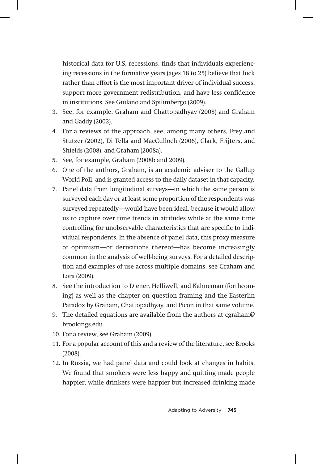historical data for U.S. recessions, finds that individuals experiencing recessions in the formative years (ages 18 to 25) believe that luck rather than effort is the most important driver of individual success, support more government redistribution, and have less confidence in institutions. See Giulano and Spilimbergo (2009).

- 3. See, for example, Graham and Chattopadhyay (2008) and Graham and Gaddy (2002).
- 4. For a reviews of the approach, see, among many others, Frey and Stutzer (2002), Di Tella and MacCulloch (2006), Clark, Frijters, and Shields (2008), and Graham (2008a).
- 5. See, for example, Graham (2008b and 2009).
- 6. One of the authors, Graham, is an academic adviser to the Gallup World Poll, and is granted access to the daily dataset in that capacity.
- 7. Panel data from longitudinal surveys—in which the same person is surveyed each day or at least some proportion of the respondents was surveyed repeatedly—would have been ideal, because it would allow us to capture over time trends in attitudes while at the same time controlling for unobservable characteristics that are specific to individual respondents. In the absence of panel data, this proxy measure of optimism—or derivations thereof—has become increasingly common in the analysis of well-being surveys. For a detailed description and examples of use across multiple domains, see Graham and Lora (2009).
- 8. See the introduction to Diener, Helliwell, and Kahneman (forthcoming) as well as the chapter on question framing and the Easterlin Paradox by Graham, Chattopadhyay, and Picon in that same volume.
- 9. The detailed equations are available from the authors at cgraham@ brookings.edu.
- 10. For a review, see Graham (2009).
- 11. For a popular account of this and a review of the literature, see Brooks (2008).
- 12. In Russia, we had panel data and could look at changes in habits. We found that smokers were less happy and quitting made people happier, while drinkers were happier but increased drinking made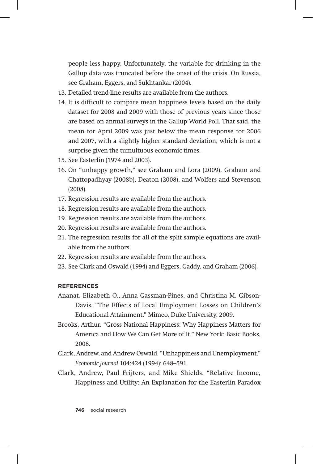people less happy. Unfortunately, the variable for drinking in the Gallup data was truncated before the onset of the crisis. On Russia, see Graham, Eggers, and Sukhtankar (2004).

- 13. Detailed trend-line results are available from the authors.
- 14. It is difficult to compare mean happiness levels based on the daily dataset for 2008 and 2009 with those of previous years since those are based on annual surveys in the Gallup World Poll. That said, the mean for April 2009 was just below the mean response for 2006 and 2007, with a slightly higher standard deviation, which is not a surprise given the tumultuous economic times.
- 15. See Easterlin (1974 and 2003).
- 16. On "unhappy growth," see Graham and Lora (2009), Graham and Chattopadhyay (2008b), Deaton (2008), and Wolfers and Stevenson (2008).
- 17. Regression results are available from the authors.
- 18. Regression results are available from the authors.
- 19. Regression results are available from the authors.
- 20. Regression results are available from the authors.
- 21. The regression results for all of the split sample equations are available from the authors.
- 22. Regression results are available from the authors.
- 23. See Clark and Oswald (1994) and Eggers, Gaddy, and Graham (2006).

#### **references**

- Ananat, Elizabeth O., Anna Gassman-Pines, and Christina M. Gibson-Davis. "The Effects of Local Employment Losses on Children's Educational Attainment." Mimeo, Duke University, 2009.
- Brooks, Arthur. "Gross National Happiness: Why Happiness Matters for America and How We Can Get More of It." New York: Basic Books, 2008.
- Clark, Andrew, and Andrew Oswald. "Unhappiness and Unemployment." *Economic Journal* 104:424 (1994): 648–591.
- Clark, Andrew, Paul Frijters, and Mike Shields. "Relative Income, Happiness and Utility: An Explanation for the Easterlin Paradox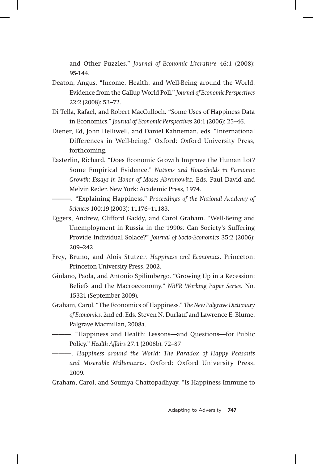and Other Puzzles." *Journal of Economic Literature* 46:1 (2008): 95-144.

- Deaton, Angus. "Income, Health, and Well-Being around the World: Evidence from the Gallup World Poll." *Journal of Economic Perspectives* 22:2 (2008): 53–72.
- Di Tella, Rafael, and Robert MacCulloch. "Some Uses of Happiness Data in Economics." *Journal of Economic Perspectives* 20:1 (2006): 25–46.
- Diener, Ed, John Helliwell, and Daniel Kahneman, eds. "International Differences in Well-being." Oxford: Oxford University Press, forthcoming.
- Easterlin, Richard. "Does Economic Growth Improve the Human Lot? Some Empirical Evidence." *Nations and Households in Economic Growth: Essays in Honor of Moses Abramowitz.* Eds. Paul David and Melvin Reder. New York: Academic Press, 1974.
- ———. "Explaining Happiness." *Proceedings of the National Academy of Sciences* 100:19 (2003): 11176–11183.
- Eggers, Andrew, Clifford Gaddy, and Carol Graham. "Well-Being and Unemployment in Russia in the 1990s: Can Society's Suffering Provide Individual Solace?" *Journal of Socio-Economics* 35:2 (2006): 209–242.
- Frey, Bruno, and Alois Stutzer. *Happiness and Economics*. Princeton: Princeton University Press, 2002.
- Giulano, Paola, and Antonio Spilimbergo. "Growing Up in a Recession: Beliefs and the Macroeconomy." *NBER Working Paper Series*. No. 15321 (September 2009).
- Graham, Carol. "The Economics of Happiness." *The New Palgrave Dictionary of Economics.* 2nd ed. Eds. Steven N. Durlauf and Lawrence E. Blume. Palgrave Macmillan, 2008a.
	- ———. "Happiness and Health: Lessons—and Questions—for Public Policy." *Health Affairs* 27:1 (2008b): 72–87
	- ———. *Happiness around the World: The Paradox of Happy Peasants and Miserable Millionaires*. Oxford: Oxford University Press, 2009.

Graham, Carol, and Soumya Chattopadhyay. "Is Happiness Immune to